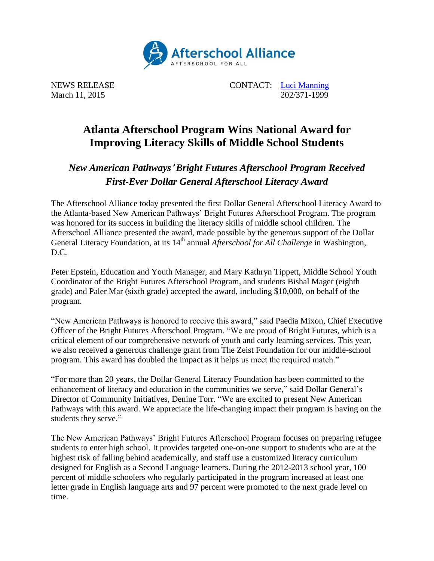

NEWS RELEASE CONTACT: [Luci Manning](mailto:luci@prsolutionsdc.com) March 11, 2015 202/371-1999

## **Atlanta Afterschool Program Wins National Award for Improving Literacy Skills of Middle School Students**

## *New American Pathways*' *Bright Futures Afterschool Program Received First-Ever Dollar General Afterschool Literacy Award*

The Afterschool Alliance today presented the first Dollar General Afterschool Literacy Award to the Atlanta-based New American Pathways' Bright Futures Afterschool Program. The program was honored for its success in building the literacy skills of middle school children. The Afterschool Alliance presented the award, made possible by the generous support of the Dollar General Literacy Foundation, at its 14<sup>th</sup> annual *Afterschool for All Challenge* in Washington, D.C.

Peter Epstein, Education and Youth Manager, and Mary Kathryn Tippett, Middle School Youth Coordinator of the Bright Futures Afterschool Program, and students Bishal Mager (eighth grade) and Paler Mar (sixth grade) accepted the award, including \$10,000, on behalf of the program.

"New American Pathways is honored to receive this award," said Paedia Mixon, Chief Executive Officer of the Bright Futures Afterschool Program. "We are proud of Bright Futures, which is a critical element of our comprehensive network of youth and early learning services. This year, we also received a generous challenge grant from The Zeist Foundation for our middle-school program. This award has doubled the impact as it helps us meet the required match."

"For more than 20 years, the Dollar General Literacy Foundation has been committed to the enhancement of literacy and education in the communities we serve," said Dollar General's Director of Community Initiatives, Denine Torr. "We are excited to present New American Pathways with this award. We appreciate the life-changing impact their program is having on the students they serve."

The New American Pathways' Bright Futures Afterschool Program focuses on preparing refugee students to enter high school. It provides targeted one-on-one support to students who are at the highest risk of falling behind academically, and staff use a customized literacy curriculum designed for English as a Second Language learners. During the 2012-2013 school year, 100 percent of middle schoolers who regularly participated in the program increased at least one letter grade in English language arts and 97 percent were promoted to the next grade level on time.